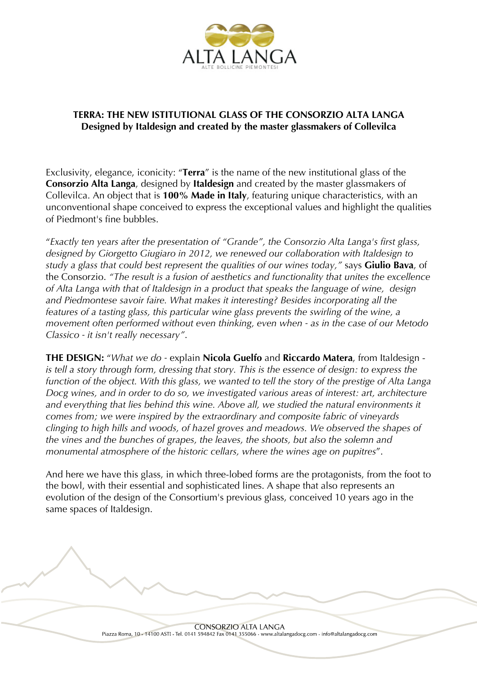

## **TERRA: THE NEW ISTITUTIONAL GLASS OF THE CONSORZIO ALTA LANGA Designed by Italdesign and created by the master glassmakers of Collevilca**

Exclusivity, elegance, iconicity: "**Terra**" is the name of the new institutional glass of the **Consorzio Alta Langa**, designed by **Italdesign** and created by the master glassmakers of Collevilca. An object that is **100% Made in Italy**, featuring unique characteristics, with an unconventional shape conceived to express the exceptional values and highlight the qualities of Piedmont's fine bubbles.

"*Exactly ten years after the presentation of "Grande", the Consorzio Alta Langa's first glass, designed by Giorgetto Giugiaro in 2012, we renewed our collaboration with Italdesign to study a glass that could best represent the qualities of our wines today,"* says **Giulio Bava**, of the Consorzio. *"The result is a fusion of aesthetics and functionality that unites the excellence of Alta Langa with that of Italdesign in a product that speaks the language of wine, design and Piedmontese savoir faire. What makes it interesting? Besides incorporating all the features of a tasting glass, this particular wine glass prevents the swirling of the wine, a movement often performed without even thinking, even when - as in the case of our Metodo Classico - it isn't really necessary"*.

**THE DESIGN:** "*What we do -* explain **Nicola Guelfo** and **Riccardo Matera**, from Italdesign *is tell a story through form, dressing that story. This is the essence of design: to express the function of the object. With this glass, we wanted to tell the story of the prestige of Alta Langa Docg wines, and in order to do so, we investigated various areas of interest: art, architecture and everything that lies behind this wine. Above all, we studied the natural environments it comes from; we were inspired by the extraordinary and composite fabric of vineyards clinging to high hills and woods, of hazel groves and meadows. We observed the shapes of the vines and the bunches of grapes, the leaves, the shoots, but also the solemn and monumental atmosphere of the historic cellars, where the wines age on pupitres*".

And here we have this glass, in which three-lobed forms are the protagonists, from the foot to the bowl, with their essential and sophisticated lines. A shape that also represents an evolution of the design of the Consortium's previous glass, conceived 10 years ago in the same spaces of Italdesign.

> **CONSORZIO ALTA LANGA** Piazza Roma, 10 - 14100 ASTI - Tel. 0141 594842 Fax 0141 355066 - www.altalangadocg.com - info@altalangadocg.com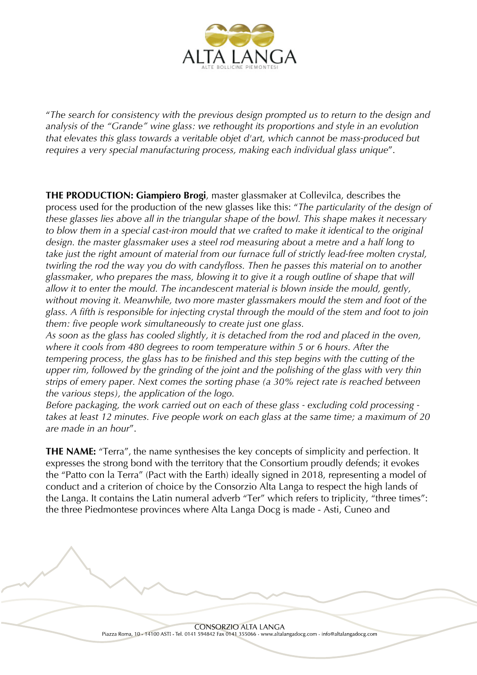

"*The search for consistency with the previous design prompted us to return to the design and analysis of the "Grande" wine glass: we rethought its proportions and style in an evolution that elevates this glass towards a veritable objet d'art, which cannot be mass-produced but requires a very special manufacturing process, making each individual glass unique*".

**THE PRODUCTION: Giampiero Brogi**, master glassmaker at Collevilca, describes the process used for the production of the new glasses like this: "*The particularity of the design of these glasses lies above all in the triangular shape of the bowl. This shape makes it necessary*  to blow them in a special cast-iron mould that we crafted to make it identical to the original *design. the master glassmaker uses a steel rod measuring about a metre and a half long to take just the right amount of material from our furnace full of strictly lead-free molten crystal, twirling the rod the way you do with candyfloss. Then he passes this material on to another glassmaker, who prepares the mass, blowing it to give it a rough outline of shape that will allow it to enter the mould. The incandescent material is blown inside the mould, gently, without moving it. Meanwhile, two more master glassmakers mould the stem and foot of the glass. A fifth is responsible for injecting crystal through the mould of the stem and foot to join them: five people work simultaneously to create just one glass.*

*As soon as the glass has cooled slightly, it is detached from the rod and placed in the oven, where it cools from 480 degrees to room temperature within 5 or 6 hours. After the tempering process, the glass has to be finished and this step begins with the cutting of the upper rim, followed by the grinding of the joint and the polishing of the glass with very thin strips of emery paper. Next comes the sorting phase (a 30% reject rate is reached between the various steps), the application of the logo.*

*Before packaging, the work carried out on each of these glass - excluding cold processing takes at least 12 minutes. Five people work on each glass at the same time; a maximum of 20 are made in an hour*".

**THE NAME:** "Terra", the name synthesises the key concepts of simplicity and perfection. It expresses the strong bond with the territory that the Consortium proudly defends; it evokes the "Patto con la Terra" (Pact with the Earth) ideally signed in 2018, representing a model of conduct and a criterion of choice by the Consorzio Alta Langa to respect the high lands of the Langa. It contains the Latin numeral adverb "Ter" which refers to triplicity, "three times": the three Piedmontese provinces where Alta Langa Docg is made - Asti, Cuneo and

> **CONSORZIO ALTA LANGA** Piazza Roma, 10 - 14100 ASTI - Tel. 0141 594842 Fax 0141 355066 - www.altalangadocg.com - info@altalangadocg.com